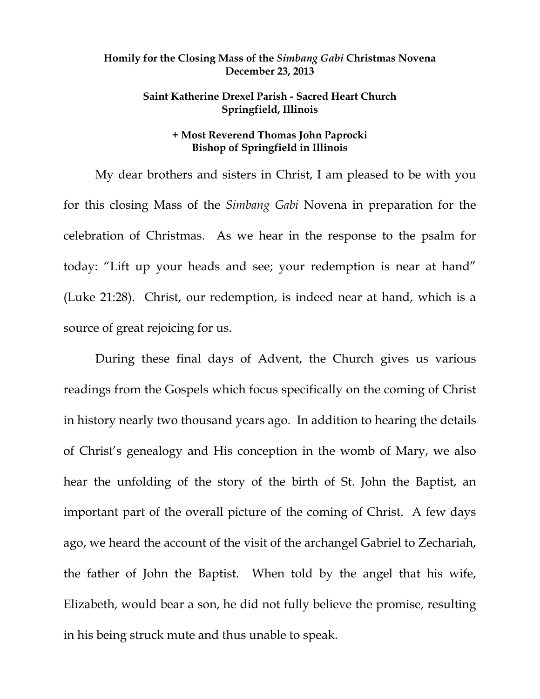## **Homily for the Closing Mass of the** *Simbang Gabi* **Christmas Novena December 23, 2013**

## **Saint Katherine Drexel Parish - Sacred Heart Church Springfield, Illinois**

## **+ Most Reverend Thomas John Paprocki Bishop of Springfield in Illinois**

My dear brothers and sisters in Christ, I am pleased to be with you for this closing Mass of the *Simbang Gabi* Novena in preparation for the celebration of Christmas. As we hear in the response to the psalm for today: "Lift up your heads and see; your redemption is near at hand" (Luke 21:28). Christ, our redemption, is indeed near at hand, which is a source of great rejoicing for us.

During these final days of Advent, the Church gives us various readings from the Gospels which focus specifically on the coming of Christ in history nearly two thousand years ago. In addition to hearing the details of Christ's genealogy and His conception in the womb of Mary, we also hear the unfolding of the story of the birth of St. John the Baptist, an important part of the overall picture of the coming of Christ. A few days ago, we heard the account of the visit of the archangel Gabriel to Zechariah, the father of John the Baptist. When told by the angel that his wife, Elizabeth, would bear a son, he did not fully believe the promise, resulting in his being struck mute and thus unable to speak.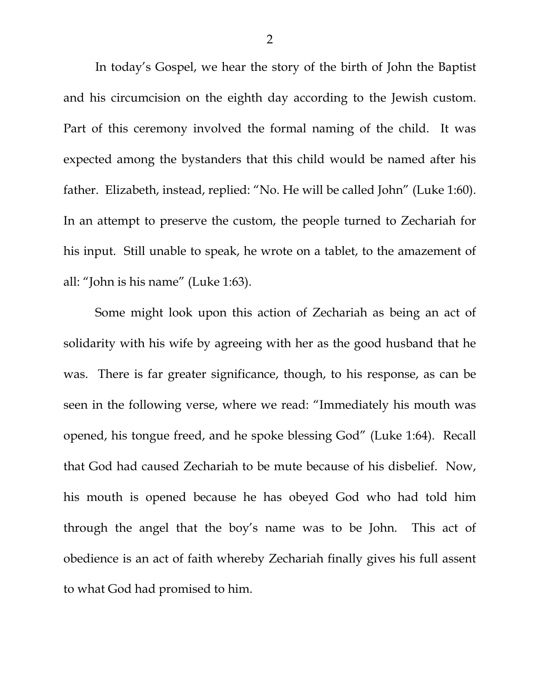In today's Gospel, we hear the story of the birth of John the Baptist and his circumcision on the eighth day according to the Jewish custom. Part of this ceremony involved the formal naming of the child. It was expected among the bystanders that this child would be named after his father. Elizabeth, instead, replied: "No. He will be called John" (Luke 1:60). In an attempt to preserve the custom, the people turned to Zechariah for his input. Still unable to speak, he wrote on a tablet, to the amazement of all: "John is his name" (Luke 1:63).

Some might look upon this action of Zechariah as being an act of solidarity with his wife by agreeing with her as the good husband that he was. There is far greater significance, though, to his response, as can be seen in the following verse, where we read: "Immediately his mouth was opened, his tongue freed, and he spoke blessing God" (Luke 1:64). Recall that God had caused Zechariah to be mute because of his disbelief. Now, his mouth is opened because he has obeyed God who had told him through the angel that the boy's name was to be John. This act of obedience is an act of faith whereby Zechariah finally gives his full assent to what God had promised to him.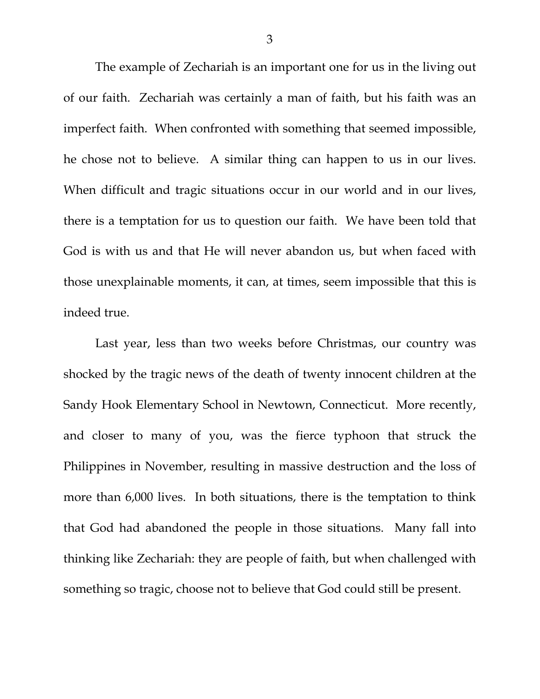The example of Zechariah is an important one for us in the living out of our faith. Zechariah was certainly a man of faith, but his faith was an imperfect faith. When confronted with something that seemed impossible, he chose not to believe. A similar thing can happen to us in our lives. When difficult and tragic situations occur in our world and in our lives, there is a temptation for us to question our faith. We have been told that God is with us and that He will never abandon us, but when faced with those unexplainable moments, it can, at times, seem impossible that this is indeed true.

Last year, less than two weeks before Christmas, our country was shocked by the tragic news of the death of twenty innocent children at the Sandy Hook Elementary School in Newtown, Connecticut. More recently, and closer to many of you, was the fierce typhoon that struck the Philippines in November, resulting in massive destruction and the loss of more than 6,000 lives. In both situations, there is the temptation to think that God had abandoned the people in those situations. Many fall into thinking like Zechariah: they are people of faith, but when challenged with something so tragic, choose not to believe that God could still be present.

3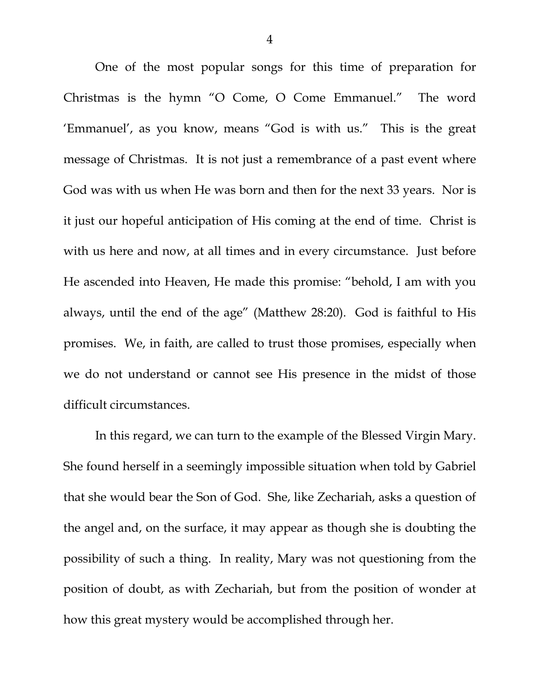One of the most popular songs for this time of preparation for Christmas is the hymn "O Come, O Come Emmanuel." The word 'Emmanuel', as you know, means "God is with us." This is the great message of Christmas. It is not just a remembrance of a past event where God was with us when He was born and then for the next 33 years. Nor is it just our hopeful anticipation of His coming at the end of time. Christ is with us here and now, at all times and in every circumstance. Just before He ascended into Heaven, He made this promise: "behold, I am with you always, until the end of the age" (Matthew 28:20). God is faithful to His promises. We, in faith, are called to trust those promises, especially when we do not understand or cannot see His presence in the midst of those difficult circumstances.

In this regard, we can turn to the example of the Blessed Virgin Mary. She found herself in a seemingly impossible situation when told by Gabriel that she would bear the Son of God. She, like Zechariah, asks a question of the angel and, on the surface, it may appear as though she is doubting the possibility of such a thing. In reality, Mary was not questioning from the position of doubt, as with Zechariah, but from the position of wonder at how this great mystery would be accomplished through her.